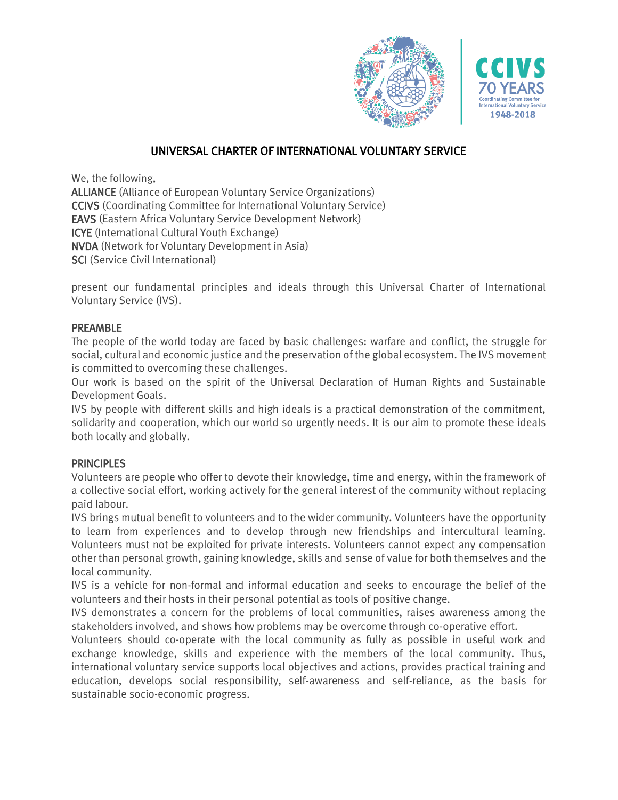



## UNIVERSAL CHARTER OF INTERNATIONAL VOLUNTARY SERVICE

We, the following,

ALLIANCE (Alliance of European Voluntary Service Organizations) CCIVS (Coordinating Committee for International Voluntary Service) EAVS (Eastern Africa Voluntary Service Development Network) ICYE (International Cultural Youth Exchange) NVDA (Network for Voluntary Development in Asia) SCI (Service Civil International)

present our fundamental principles and ideals through this Universal Charter of International Voluntary Service (IVS).

## PREAMBLE

The people of the world today are faced by basic challenges: warfare and conflict, the struggle for social, cultural and economic justice and the preservation of the global ecosystem. The IVS movement is committed to overcoming these challenges.

Our work is based on the spirit of the Universal Declaration of Human Rights and Sustainable Development Goals.

IVS by people with different skills and high ideals is a practical demonstration of the commitment, solidarity and cooperation, which our world so urgently needs. It is our aim to promote these ideals both locally and globally.

## **PRINCIPLES**

Volunteers are people who offer to devote their knowledge, time and energy, within the framework of a collective social effort, working actively for the general interest of the community without replacing paid labour.

IVS brings mutual benefit to volunteers and to the wider community. Volunteers have the opportunity to learn from experiences and to develop through new friendships and intercultural learning. Volunteers must not be exploited for private interests. Volunteers cannot expect any compensation other than personal growth, gaining knowledge, skills and sense of value for both themselves and the local community.

IVS is a vehicle for non-formal and informal education and seeks to encourage the belief of the volunteers and their hosts in their personal potential as tools of positive change.

IVS demonstrates a concern for the problems of local communities, raises awareness among the stakeholders involved, and shows how problems may be overcome through co-operative effort.

Volunteers should co-operate with the local community as fully as possible in useful work and exchange knowledge, skills and experience with the members of the local community. Thus, international voluntary service supports local objectives and actions, provides practical training and education, develops social responsibility, self-awareness and self-reliance, as the basis for sustainable socio-economic progress.